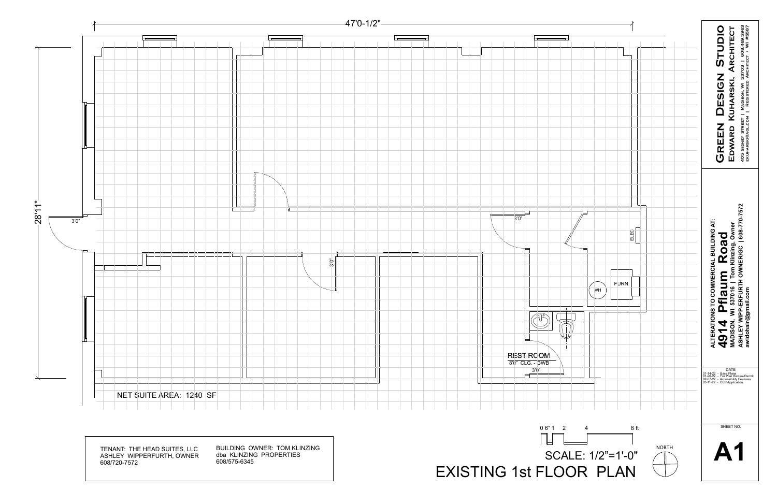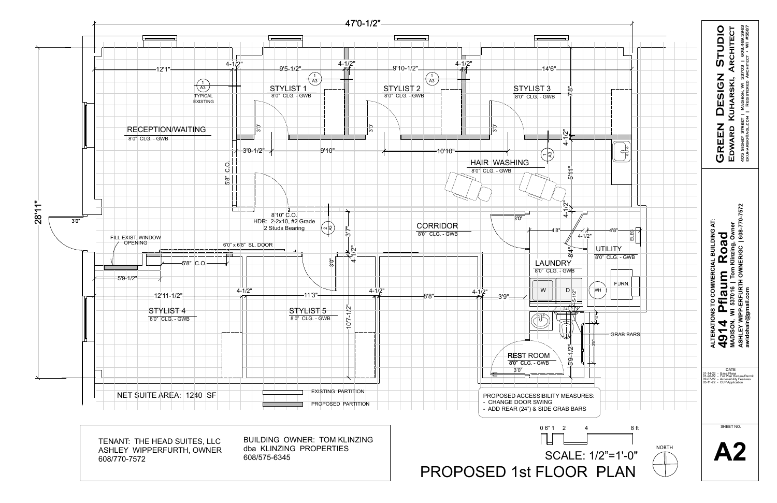



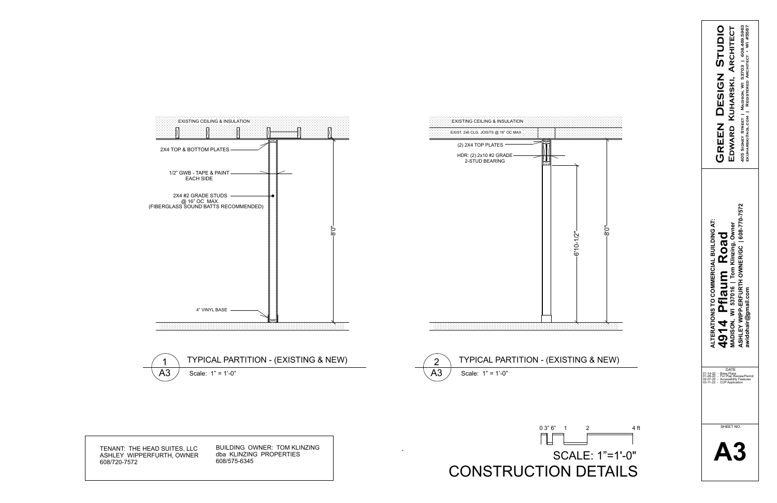| GREEN DESIGN STUDIO                                                                                           | EDWARD KUHARSKI, ARCHITECT                                     | 405 SIDNEY STREET   MADISON, WI 53703   608.469.5963<br>EKUHARSKI@AOL.COM   REGISTERED ARCHITECT . WI #5587 |
|---------------------------------------------------------------------------------------------------------------|----------------------------------------------------------------|-------------------------------------------------------------------------------------------------------------|
| <b>TO COMMERCIAL BUILDING AT:</b><br>ALTERATIONS                                                              | 537016   Tom Klinzing, Owner<br>Road<br>flaum<br><b>MOSION</b> | ERFURTH OWNER/GC   608-770-7572<br>ail.com<br>mba<br>awidohai<br><b>ASHLEY</b>                              |
| 01-14-22 - Base Plans<br>01-26-22 - For Plan Review/Permit<br>02-07-22 - Accessibility Features<br>03-11-22 - | DATE<br><b>CUP Application</b>                                 |                                                                                                             |
|                                                                                                               | SHEET NO.                                                      |                                                                                                             |





|               | ,,,,,,,,,,,,,,,,,,,,,,,,,,,,<br><b>EXISTING CEILING &amp; INSULATION</b>    |  |
|---------------|-----------------------------------------------------------------------------|--|
|               | $\sim$ EXIST. 2x6 CLG. JOISTS @ 16" OC MAX $\sim$<br>くくくくくくくくくくくくくくくくくくくくくく |  |
|               | (2) 2X4 TOP PLATES                                                          |  |
|               | HDR: (2) 2x10 #2 GRADE<br><b>2-STUD BEARING</b>                             |  |
|               |                                                                             |  |
|               |                                                                             |  |
|               |                                                                             |  |
| $\frac{1}{8}$ |                                                                             |  |
|               |                                                                             |  |
|               |                                                                             |  |
|               |                                                                             |  |
|               |                                                                             |  |
|               |                                                                             |  |
|               |                                                                             |  |

 $\sim$ 





TENANT: THE HEAD SUITES, LLC ASHLEY WIPPERFURTH, OWNER 608/720-7572

BUILDING OWNER: TOM KLINZING dba KLINZING PROPERTIES 608/575-6345